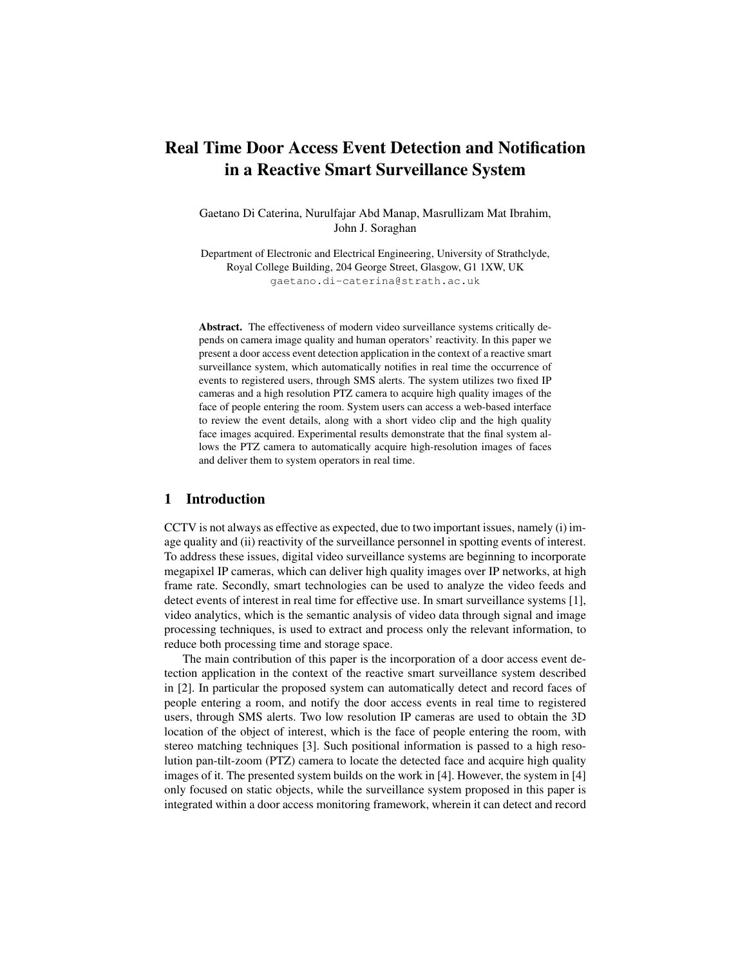# Real Time Door Access Event Detection and Notification in a Reactive Smart Surveillance System

Gaetano Di Caterina, Nurulfajar Abd Manap, Masrullizam Mat Ibrahim, John J. Soraghan

Department of Electronic and Electrical Engineering, University of Strathclyde, Royal College Building, 204 George Street, Glasgow, G1 1XW, UK gaetano.di-caterina@strath.ac.uk

Abstract. The effectiveness of modern video surveillance systems critically depends on camera image quality and human operators' reactivity. In this paper we present a door access event detection application in the context of a reactive smart surveillance system, which automatically notifies in real time the occurrence of events to registered users, through SMS alerts. The system utilizes two fixed IP cameras and a high resolution PTZ camera to acquire high quality images of the face of people entering the room. System users can access a web-based interface to review the event details, along with a short video clip and the high quality face images acquired. Experimental results demonstrate that the final system allows the PTZ camera to automatically acquire high-resolution images of faces and deliver them to system operators in real time.

## 1 Introduction

CCTV is not always as effective as expected, due to two important issues, namely (i) image quality and (ii) reactivity of the surveillance personnel in spotting events of interest. To address these issues, digital video surveillance systems are beginning to incorporate megapixel IP cameras, which can deliver high quality images over IP networks, at high frame rate. Secondly, smart technologies can be used to analyze the video feeds and detect events of interest in real time for effective use. In smart surveillance systems [1], video analytics, which is the semantic analysis of video data through signal and image processing techniques, is used to extract and process only the relevant information, to reduce both processing time and storage space.

The main contribution of this paper is the incorporation of a door access event detection application in the context of the reactive smart surveillance system described in [2]. In particular the proposed system can automatically detect and record faces of people entering a room, and notify the door access events in real time to registered users, through SMS alerts. Two low resolution IP cameras are used to obtain the 3D location of the object of interest, which is the face of people entering the room, with stereo matching techniques [3]. Such positional information is passed to a high resolution pan-tilt-zoom (PTZ) camera to locate the detected face and acquire high quality images of it. The presented system builds on the work in [4]. However, the system in [4] only focused on static objects, while the surveillance system proposed in this paper is integrated within a door access monitoring framework, wherein it can detect and record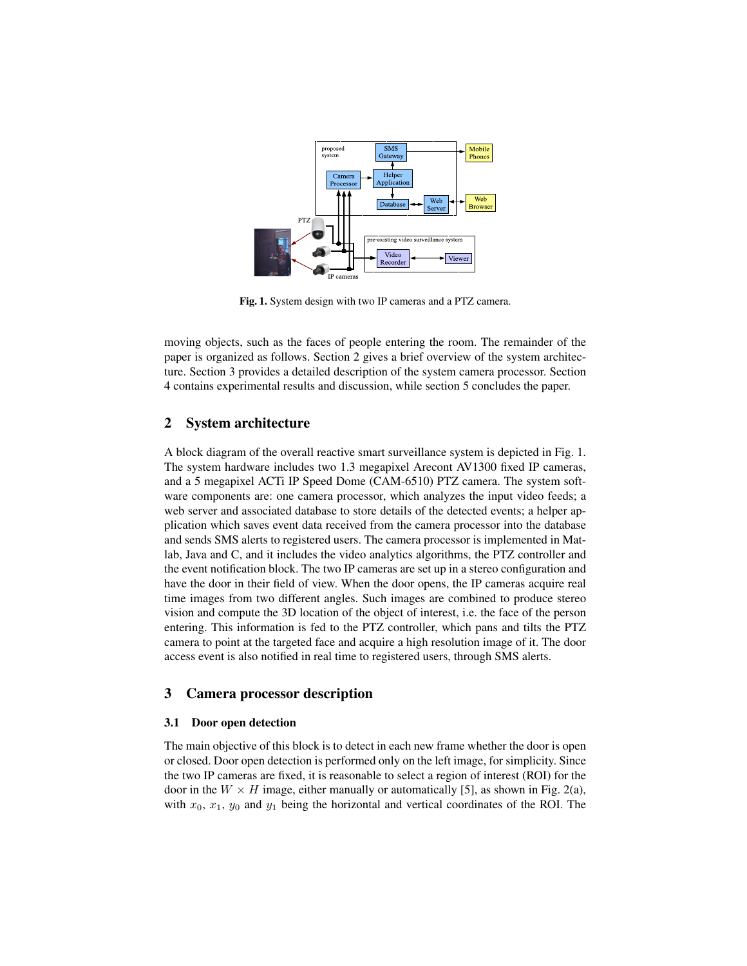

Fig. 1. System design with two IP cameras and a PTZ camera.

moving objects, such as the faces of people entering the room. The remainder of the paper is organized as follows. Section 2 gives a brief overview of the system architecture. Section 3 provides a detailed description of the system camera processor. Section 4 contains experimental results and discussion, while section 5 concludes the paper.

# 2 System architecture

A block diagram of the overall reactive smart surveillance system is depicted in Fig. 1. The system hardware includes two 1.3 megapixel Arecont AV1300 fixed IP cameras, and a 5 megapixel ACTi IP Speed Dome (CAM-6510) PTZ camera. The system software components are: one camera processor, which analyzes the input video feeds; a web server and associated database to store details of the detected events; a helper application which saves event data received from the camera processor into the database and sends SMS alerts to registered users. The camera processor is implemented in Matlab, Java and C, and it includes the video analytics algorithms, the PTZ controller and the event notification block. The two IP cameras are set up in a stereo configuration and have the door in their field of view. When the door opens, the IP cameras acquire real time images from two different angles. Such images are combined to produce stereo vision and compute the 3D location of the object of interest, i.e. the face of the person entering. This information is fed to the PTZ controller, which pans and tilts the PTZ camera to point at the targeted face and acquire a high resolution image of it. The door access event is also notified in real time to registered users, through SMS alerts.

## 3 Camera processor description

#### 3.1 Door open detection

The main objective of this block is to detect in each new frame whether the door is open or closed. Door open detection is performed only on the left image, for simplicity. Since the two IP cameras are fixed, it is reasonable to select a region of interest (ROI) for the door in the  $W \times H$  image, either manually or automatically [5], as shown in Fig. 2(a), with  $x_0$ ,  $x_1$ ,  $y_0$  and  $y_1$  being the horizontal and vertical coordinates of the ROI. The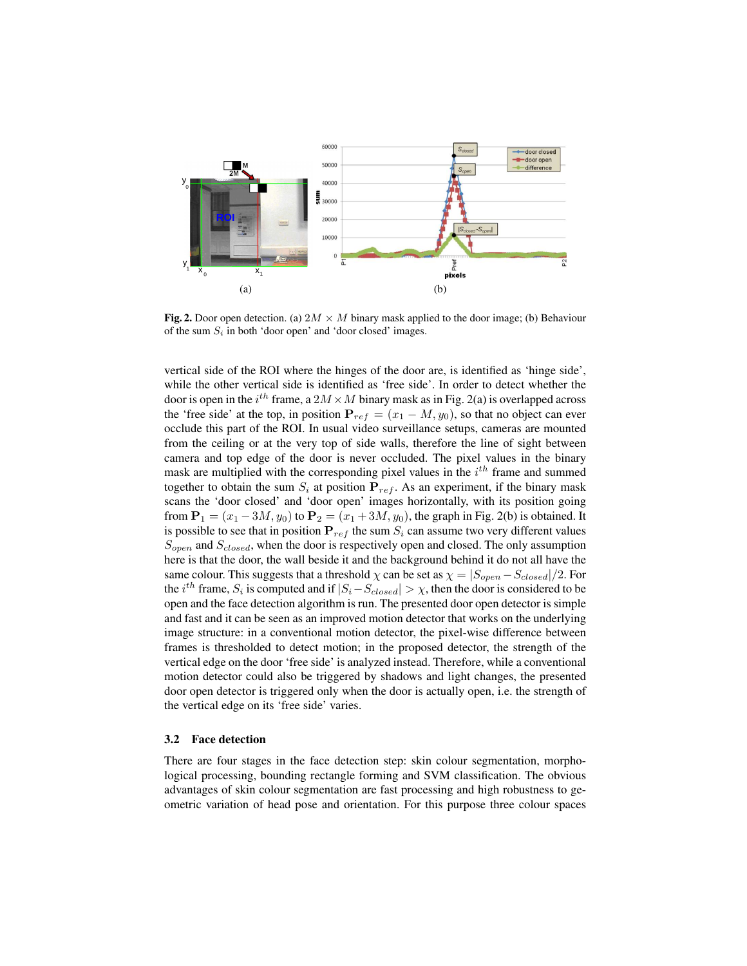

Fig. 2. Door open detection. (a)  $2M \times M$  binary mask applied to the door image; (b) Behaviour of the sum  $S_i$  in both 'door open' and 'door closed' images.

vertical side of the ROI where the hinges of the door are, is identified as 'hinge side', while the other vertical side is identified as 'free side'. In order to detect whether the door is open in the  $i^{th}$  frame, a  $2M \times M$  binary mask as in Fig. 2(a) is overlapped across the 'free side' at the top, in position  $P_{ref} = (x_1 - M, y_0)$ , so that no object can ever occlude this part of the ROI. In usual video surveillance setups, cameras are mounted from the ceiling or at the very top of side walls, therefore the line of sight between camera and top edge of the door is never occluded. The pixel values in the binary mask are multiplied with the corresponding pixel values in the *i th* frame and summed together to obtain the sum  $S_i$  at position  $P_{ref}$ . As an experiment, if the binary mask scans the 'door closed' and 'door open' images horizontally, with its position going from  $P_1 = (x_1 - 3M, y_0)$  to  $P_2 = (x_1 + 3M, y_0)$ , the graph in Fig. 2(b) is obtained. It is possible to see that in position  $P_{ref}$  the sum  $S_i$  can assume two very different values *Sopen* and *Sclosed*, when the door is respectively open and closed. The only assumption here is that the door, the wall beside it and the background behind it do not all have the same colour. This suggests that a threshold  $\chi$  can be set as  $\chi = |S_{open} - S_{closed}|/2$ . For the *i*<sup>th</sup> frame,  $S_i$  is computed and if  $|S_i - S_{closed}| > \chi$ , then the door is considered to be open and the face detection algorithm is run. The presented door open detector is simple and fast and it can be seen as an improved motion detector that works on the underlying image structure: in a conventional motion detector, the pixel-wise difference between frames is thresholded to detect motion; in the proposed detector, the strength of the vertical edge on the door 'free side' is analyzed instead. Therefore, while a conventional motion detector could also be triggered by shadows and light changes, the presented door open detector is triggered only when the door is actually open, i.e. the strength of the vertical edge on its 'free side' varies.

#### 3.2 Face detection

There are four stages in the face detection step: skin colour segmentation, morphological processing, bounding rectangle forming and SVM classification. The obvious advantages of skin colour segmentation are fast processing and high robustness to geometric variation of head pose and orientation. For this purpose three colour spaces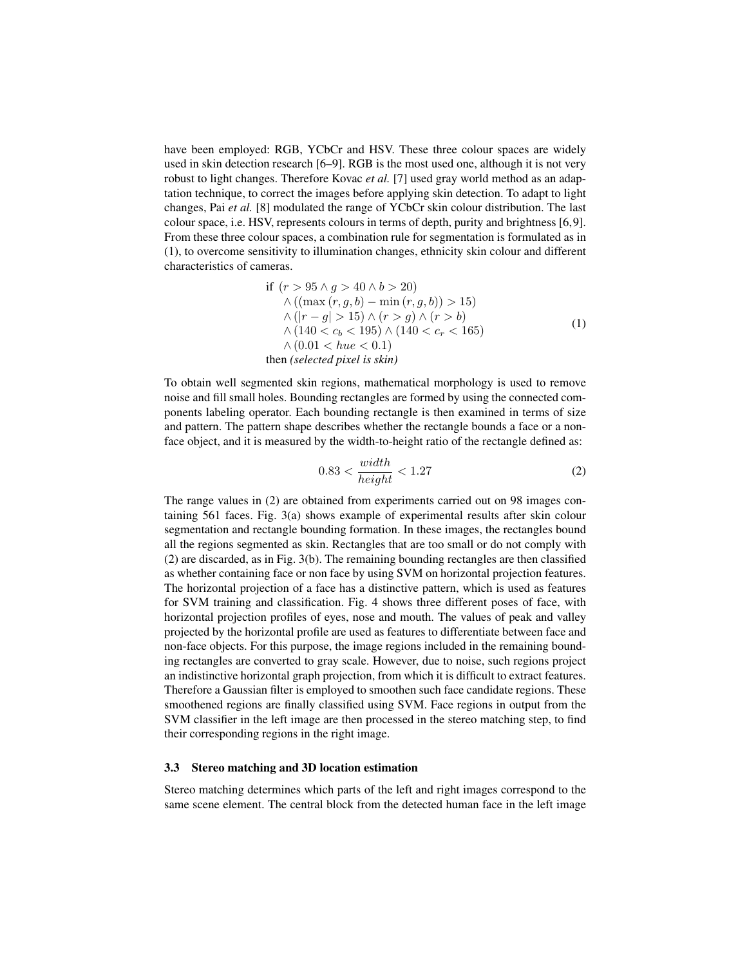have been employed: RGB, YCbCr and HSV. These three colour spaces are widely used in skin detection research [6–9]. RGB is the most used one, although it is not very robust to light changes. Therefore Kovac *et al.* [7] used gray world method as an adaptation technique, to correct the images before applying skin detection. To adapt to light changes, Pai *et al.* [8] modulated the range of YCbCr skin colour distribution. The last colour space, i.e. HSV, represents colours in terms of depth, purity and brightness [6,9]. From these three colour spaces, a combination rule for segmentation is formulated as in (1), to overcome sensitivity to illumination changes, ethnicity skin colour and different characteristics of cameras.

if 
$$
(r > 95 \land g > 40 \land b > 20)
$$
  
\n
$$
\land ((\max(r, g, b) - \min(r, g, b)) > 15)
$$
\n
$$
\land (|r - g| > 15) \land (r > g) \land (r > b)
$$
\n
$$
\land (140 < c_b < 195) \land (140 < c_r < 165)
$$
\n
$$
\land (0.01 < hue < 0.1)
$$
\nthen *(selected pixel is skin)* (1)

To obtain well segmented skin regions, mathematical morphology is used to remove noise and fill small holes. Bounding rectangles are formed by using the connected components labeling operator. Each bounding rectangle is then examined in terms of size and pattern. The pattern shape describes whether the rectangle bounds a face or a nonface object, and it is measured by the width-to-height ratio of the rectangle defined as:

$$
0.83 < \frac{width}{height} < 1.27 \tag{2}
$$

The range values in (2) are obtained from experiments carried out on 98 images containing 561 faces. Fig. 3(a) shows example of experimental results after skin colour segmentation and rectangle bounding formation. In these images, the rectangles bound all the regions segmented as skin. Rectangles that are too small or do not comply with (2) are discarded, as in Fig. 3(b). The remaining bounding rectangles are then classified as whether containing face or non face by using SVM on horizontal projection features. The horizontal projection of a face has a distinctive pattern, which is used as features for SVM training and classification. Fig. 4 shows three different poses of face, with horizontal projection profiles of eyes, nose and mouth. The values of peak and valley projected by the horizontal profile are used as features to differentiate between face and non-face objects. For this purpose, the image regions included in the remaining bounding rectangles are converted to gray scale. However, due to noise, such regions project an indistinctive horizontal graph projection, from which it is difficult to extract features. Therefore a Gaussian filter is employed to smoothen such face candidate regions. These smoothened regions are finally classified using SVM. Face regions in output from the SVM classifier in the left image are then processed in the stereo matching step, to find their corresponding regions in the right image.

#### 3.3 Stereo matching and 3D location estimation

Stereo matching determines which parts of the left and right images correspond to the same scene element. The central block from the detected human face in the left image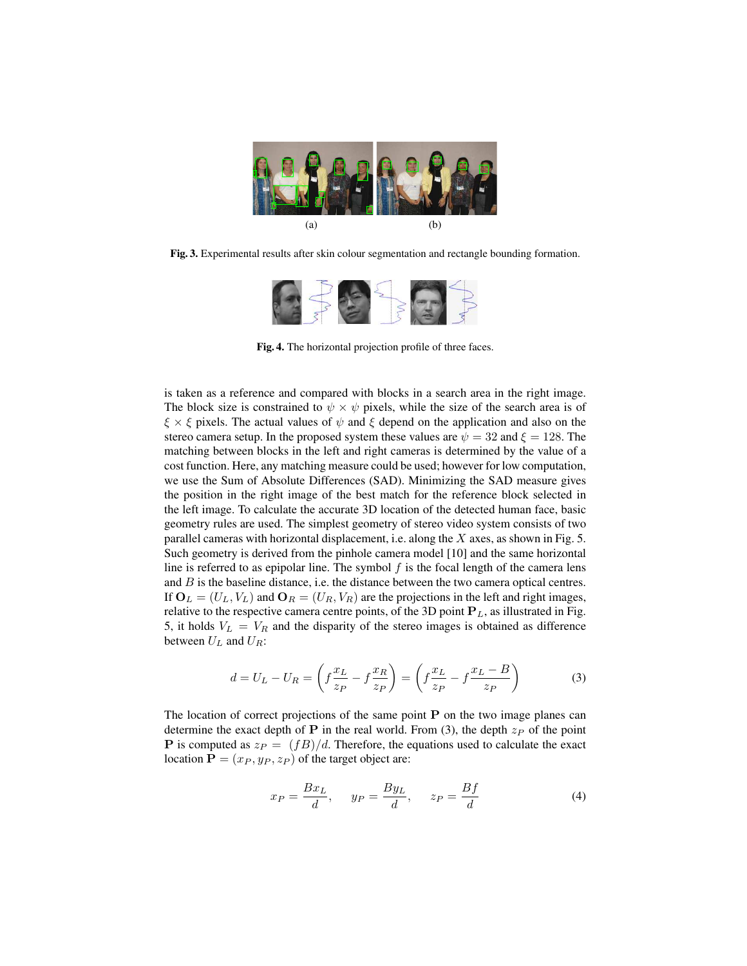

Fig. 3. Experimental results after skin colour segmentation and rectangle bounding formation.



Fig. 4. The horizontal projection profile of three faces.

is taken as a reference and compared with blocks in a search area in the right image. The block size is constrained to  $\psi \times \psi$  pixels, while the size of the search area is of *ξ* × *ξ* pixels. The actual values of *ψ* and *ξ* depend on the application and also on the stereo camera setup. In the proposed system these values are  $\psi = 32$  and  $\xi = 128$ . The matching between blocks in the left and right cameras is determined by the value of a cost function. Here, any matching measure could be used; however for low computation, we use the Sum of Absolute Differences (SAD). Minimizing the SAD measure gives the position in the right image of the best match for the reference block selected in the left image. To calculate the accurate 3D location of the detected human face, basic geometry rules are used. The simplest geometry of stereo video system consists of two parallel cameras with horizontal displacement, i.e. along the *X* axes, as shown in Fig. 5. Such geometry is derived from the pinhole camera model [10] and the same horizontal line is referred to as epipolar line. The symbol *f* is the focal length of the camera lens and *B* is the baseline distance, i.e. the distance between the two camera optical centres. If  $\mathbf{O}_L = (U_L, V_L)$  and  $\mathbf{O}_R = (U_R, V_R)$  are the projections in the left and right images, relative to the respective camera centre points, of the 3D point **P***L*, as illustrated in Fig. 5, it holds  $V_L = V_R$  and the disparity of the stereo images is obtained as difference between  $U_L$  and  $U_R$ :

$$
d = U_L - U_R = \left(f\frac{x_L}{z_P} - f\frac{x_R}{z_P}\right) = \left(f\frac{x_L}{z_P} - f\frac{x_L - B}{z_P}\right)
$$
(3)

The location of correct projections of the same point  $P$  on the two image planes can determine the exact depth of **P** in the real world. From (3), the depth  $z<sub>P</sub>$  of the point **P** is computed as  $z_P = (fB)/d$ . Therefore, the equations used to calculate the exact location  $P = (x_P, y_P, z_P)$  of the target object are:

$$
x_P = \frac{Bx_L}{d}, \quad y_P = \frac{By_L}{d}, \quad z_P = \frac{Bf}{d}
$$
 (4)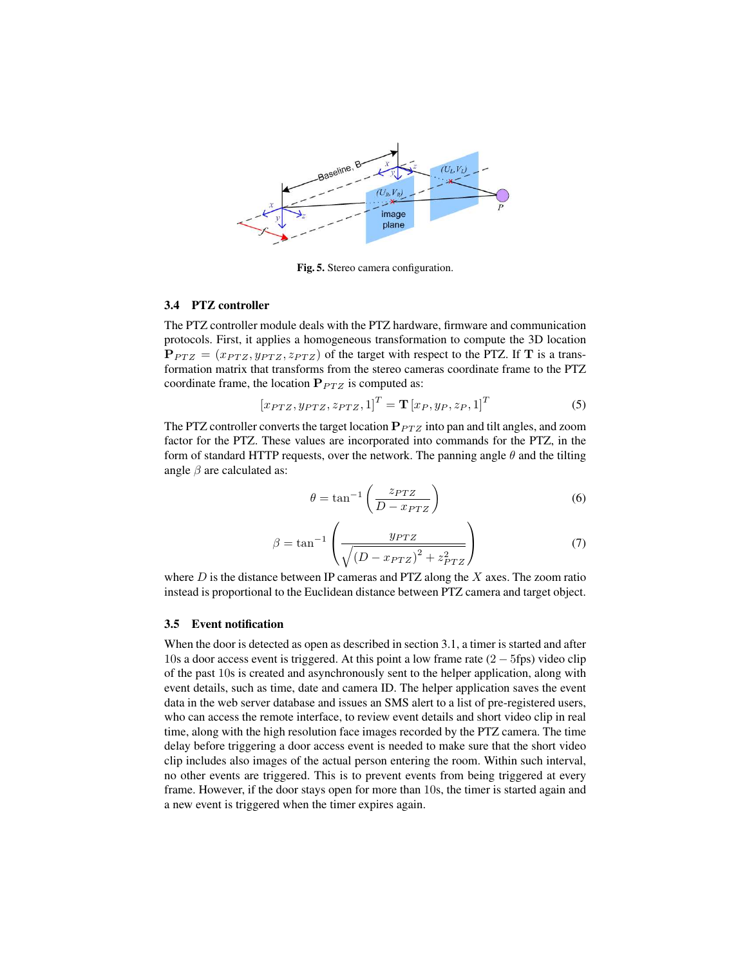

Fig. 5. Stereo camera configuration.

#### 3.4 PTZ controller

The PTZ controller module deals with the PTZ hardware, firmware and communication protocols. First, it applies a homogeneous transformation to compute the 3D location  ${\bf P}_{PTZ} = (x_{PTZ}, y_{PTZ}, z_{PTZ})$  of the target with respect to the PTZ. If T is a transformation matrix that transforms from the stereo cameras coordinate frame to the PTZ coordinate frame, the location  $P_{PTZ}$  is computed as:

$$
[x_{PTZ}, y_{PTZ}, z_{PTZ}, 1]^T = \mathbf{T} [x_P, y_P, z_P, 1]^T
$$
 (5)

The PTZ controller converts the target location  $P_{PTZ}$  into pan and tilt angles, and zoom factor for the PTZ. These values are incorporated into commands for the PTZ, in the form of standard HTTP requests, over the network. The panning angle *θ* and the tilting angle *β* are calculated as:

$$
\theta = \tan^{-1}\left(\frac{z_{PTZ}}{D - x_{PTZ}}\right) \tag{6}
$$

$$
\beta = \tan^{-1}\left(\frac{y_{PTZ}}{\sqrt{(D - x_{PTZ})^2 + z_{PTZ}^2}}\right) \tag{7}
$$

where *D* is the distance between IP cameras and PTZ along the *X* axes. The zoom ratio instead is proportional to the Euclidean distance between PTZ camera and target object.

#### 3.5 Event notification

When the door is detected as open as described in section 3.1, a timer is started and after 10s a door access event is triggered. At this point a low frame rate  $(2 - 5$ fps) video clip of the past 10s is created and asynchronously sent to the helper application, along with event details, such as time, date and camera ID. The helper application saves the event data in the web server database and issues an SMS alert to a list of pre-registered users, who can access the remote interface, to review event details and short video clip in real time, along with the high resolution face images recorded by the PTZ camera. The time delay before triggering a door access event is needed to make sure that the short video clip includes also images of the actual person entering the room. Within such interval, no other events are triggered. This is to prevent events from being triggered at every frame. However, if the door stays open for more than 10s, the timer is started again and a new event is triggered when the timer expires again.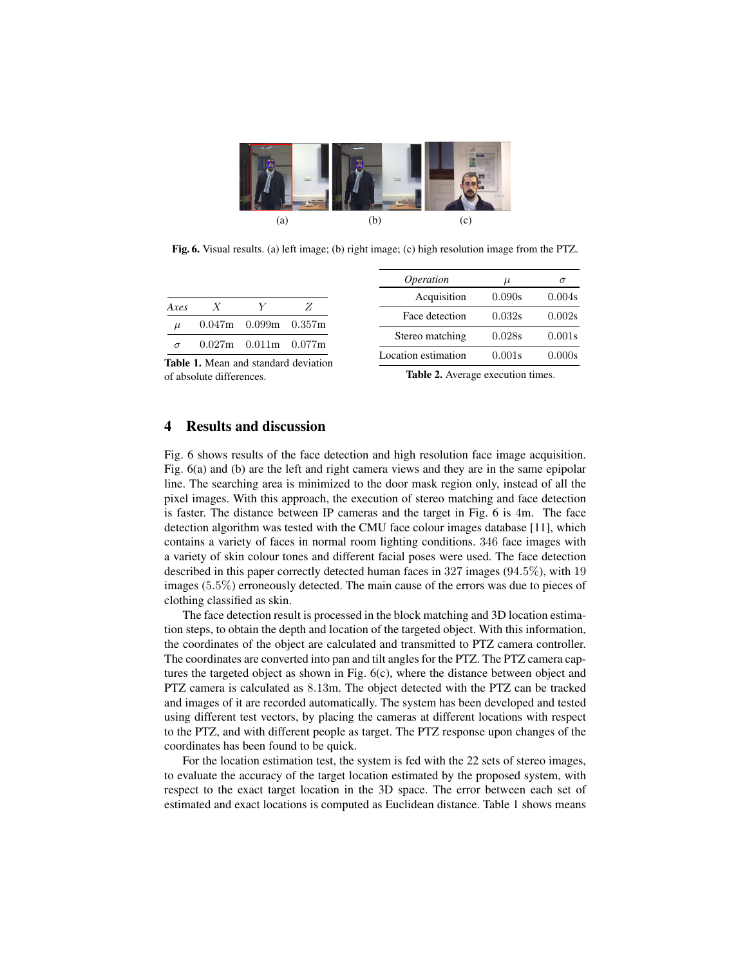

Fig. 6. Visual results. (a) left image; (b) right image; (c) high resolution image from the PTZ.

| Axes     | X | V                             | Z |
|----------|---|-------------------------------|---|
| $\mu$    |   | $0.047m$ 0.099m 0.357m        |   |
| $\sigma$ |   | $0.027$ m $0.011$ m $0.077$ m |   |

Table 1. Mean and standard deviation of absolute differences.

| <i><b>Operation</b></i> | $\mu$  |        |
|-------------------------|--------|--------|
| Acquisition             | 0.090s | 0.004s |
| Face detection          | 0.032s | 0.002s |
| Stereo matching         | 0.028s | 0.001s |
| Location estimation     | 0.001s | 0.000s |

Table 2. Average execution times.

## 4 Results and discussion

Fig. 6 shows results of the face detection and high resolution face image acquisition. Fig. 6(a) and (b) are the left and right camera views and they are in the same epipolar line. The searching area is minimized to the door mask region only, instead of all the pixel images. With this approach, the execution of stereo matching and face detection is faster. The distance between IP cameras and the target in Fig. 6 is 4m. The face detection algorithm was tested with the CMU face colour images database [11], which contains a variety of faces in normal room lighting conditions. 346 face images with a variety of skin colour tones and different facial poses were used. The face detection described in this paper correctly detected human faces in 327 images (94*.*5%), with 19 images (5*.*5%) erroneously detected. The main cause of the errors was due to pieces of clothing classified as skin.

The face detection result is processed in the block matching and 3D location estimation steps, to obtain the depth and location of the targeted object. With this information, the coordinates of the object are calculated and transmitted to PTZ camera controller. The coordinates are converted into pan and tilt angles for the PTZ. The PTZ camera captures the targeted object as shown in Fig. 6(c), where the distance between object and PTZ camera is calculated as 8*.*13m. The object detected with the PTZ can be tracked and images of it are recorded automatically. The system has been developed and tested using different test vectors, by placing the cameras at different locations with respect to the PTZ, and with different people as target. The PTZ response upon changes of the coordinates has been found to be quick.

For the location estimation test, the system is fed with the 22 sets of stereo images, to evaluate the accuracy of the target location estimated by the proposed system, with respect to the exact target location in the 3D space. The error between each set of estimated and exact locations is computed as Euclidean distance. Table 1 shows means